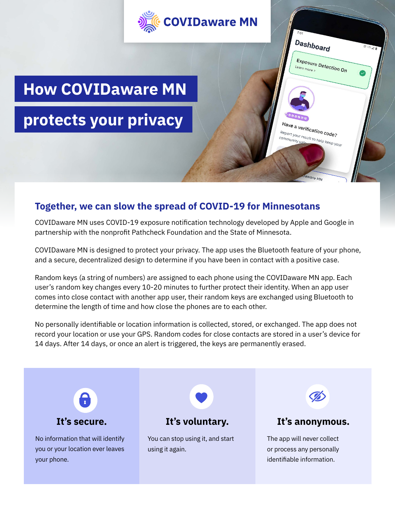

# **Together, we can slow the spread of COVID-19 for Minnesotans**

COVIDaware MN uses COVID-19 exposure notification technology developed by Apple and Google in partnership with the nonprofit Pathcheck Foundation and the State of Minnesota.

COVIDaware MN is designed to protect your privacy. The app uses the Bluetooth feature of your phone, and a secure, decentralized design to determine if you have been in contact with a positive case.

Random keys (a string of numbers) are assigned to each phone using the COVIDaware MN app. Each user's random key changes every 10-20 minutes to further protect their identity. When an app user comes into close contact with another app user, their random keys are exchanged using Bluetooth to determine the length of time and how close the phones are to each other.

No personally identifiable or location information is collected, stored, or exchanged. The app does not record your location or use your GPS. Random codes for close contacts are stored in a user's device for 14 days. After 14 days, or once an alert is triggered, the keys are permanently erased.